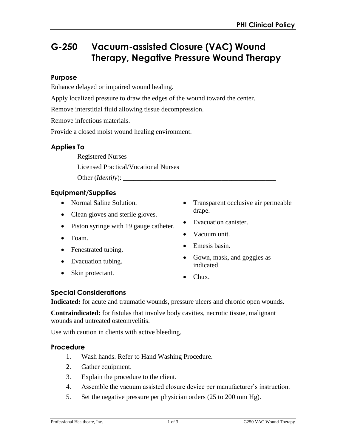# **G-250 Vacuum-assisted Closure (VAC) Wound Therapy, Negative Pressure Wound Therapy**

## **Purpose**

Enhance delayed or impaired wound healing.

Apply localized pressure to draw the edges of the wound toward the center.

Remove interstitial fluid allowing tissue decompression.

Remove infectious materials.

Provide a closed moist wound healing environment.

## **Applies To**

Registered Nurses

Licensed Practical/Vocational Nurses

Other (*Identify*):

## **Equipment/Supplies**

- Normal Saline Solution.
- Clean gloves and sterile gloves.
- Piston syringe with 19 gauge catheter.
- Foam.
- Fenestrated tubing.
- Evacuation tubing.
- Skin protectant.
- Transparent occlusive air permeable drape.
- Evacuation canister.
- Vacuum unit.
- Emesis basin.
- Gown, mask, and goggles as indicated.
- Chux.

# **Special Considerations**

**Indicated:** for acute and traumatic wounds, pressure ulcers and chronic open wounds.

**Contraindicated:** for fistulas that involve body cavities, necrotic tissue, malignant wounds and untreated osteomyelitis.

Use with caution in clients with active bleeding.

#### **Procedure**

- 1. Wash hands. Refer to Hand Washing Procedure.
- 2. Gather equipment.
- 3. Explain the procedure to the client.
- 4. Assemble the vacuum assisted closure device per manufacturer's instruction.
- 5. Set the negative pressure per physician orders (25 to 200 mm Hg).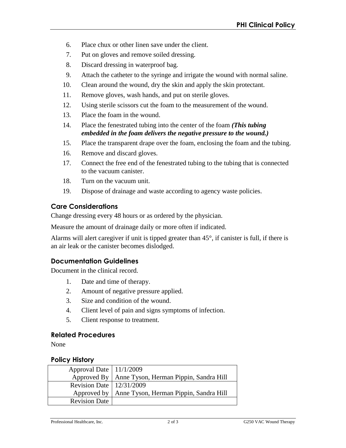- 6. Place chux or other linen save under the client.
- 7. Put on gloves and remove soiled dressing.
- 8. Discard dressing in waterproof bag.
- 9. Attach the catheter to the syringe and irrigate the wound with normal saline.
- 10. Clean around the wound, dry the skin and apply the skin protectant.
- 11. Remove gloves, wash hands, and put on sterile gloves.
- 12. Using sterile scissors cut the foam to the measurement of the wound.
- 13. Place the foam in the wound.
- 14. Place the fenestrated tubing into the center of the foam *(This tubing embedded in the foam delivers the negative pressure to the wound.)*
- 15. Place the transparent drape over the foam, enclosing the foam and the tubing.
- 16. Remove and discard gloves.
- 17. Connect the free end of the fenestrated tubing to the tubing that is connected to the vacuum canister.
- 18. Turn on the vacuum unit.
- 19. Dispose of drainage and waste according to agency waste policies.

# **Care Considerations**

Change dressing every 48 hours or as ordered by the physician.

Measure the amount of drainage daily or more often if indicated.

Alarms will alert caregiver if unit is tipped greater than 45°, if canister is full, if there is an air leak or the canister becomes dislodged.

# **Documentation Guidelines**

Document in the clinical record.

- 1. Date and time of therapy.
- 2. Amount of negative pressure applied.
- 3. Size and condition of the wound.
- 4. Client level of pain and signs symptoms of infection.
- 5. Client response to treatment.

# **Related Procedures**

None

# **Policy History**

| Approval Date   11/1/2009  |                                                      |
|----------------------------|------------------------------------------------------|
|                            | Approved By   Anne Tyson, Herman Pippin, Sandra Hill |
| Revision Date   12/31/2009 |                                                      |
|                            | Approved by   Anne Tyson, Herman Pippin, Sandra Hill |
| <b>Revision Date</b>       |                                                      |